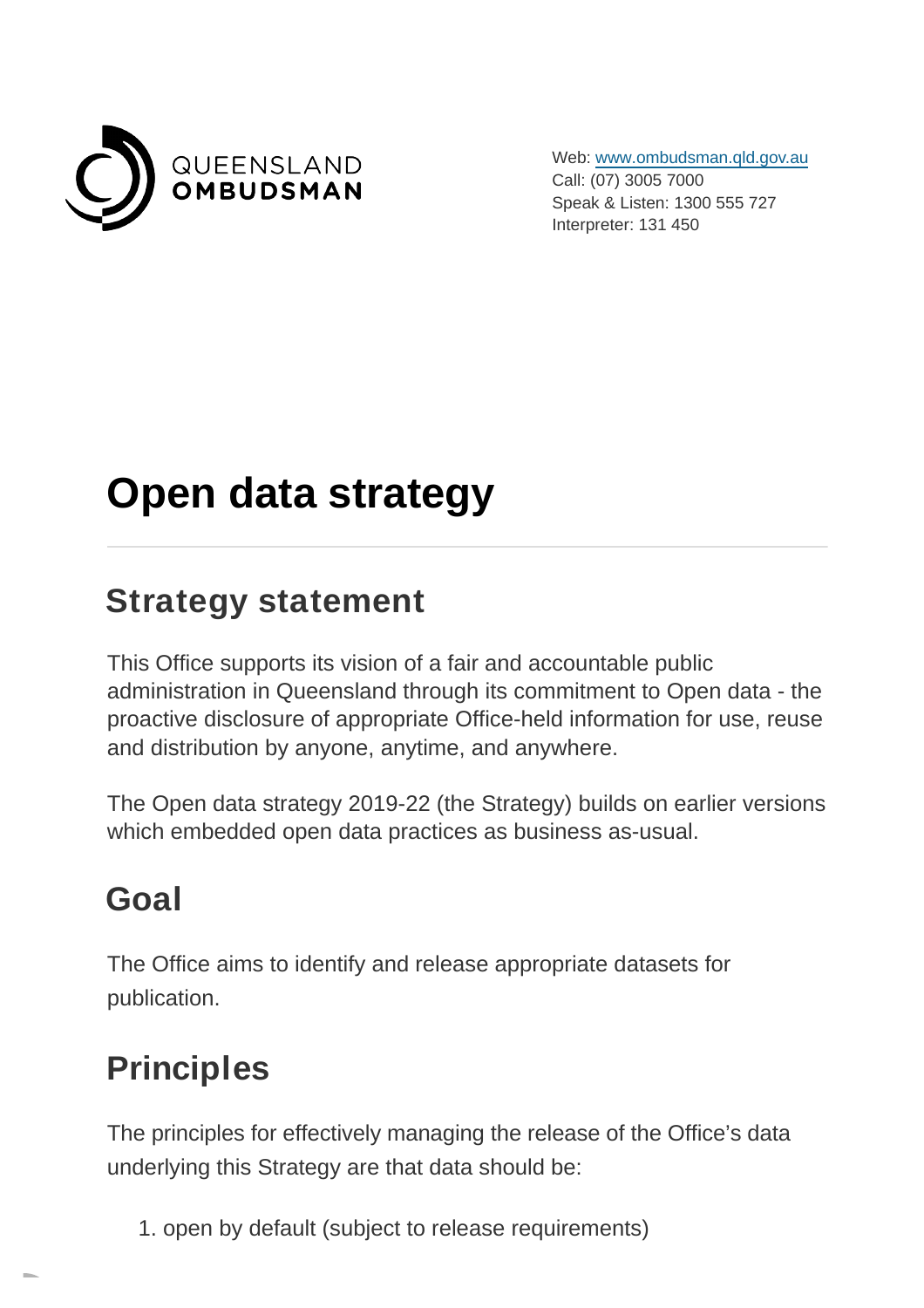

Web: [www.ombudsman.qld.gov.au](https://www.ombudsman.qld.gov.au/) Call: (07) 3005 7000 Speak & Listen: 1300 555 727 Interpreter: 131 450

# **Open data strategy**

### **Strategy statement**

This Office supports its vision of a fair and accountable public administration in Queensland through its commitment to Open data - the proactive disclosure of appropriate Office-held information for use, reuse and distribution by anyone, anytime, and anywhere.

The Open data strategy 2019-22 (the Strategy) builds on earlier versions which embedded open data practices as business as-usual.

### **Goal**

The Office aims to identify and release appropriate datasets for publication.

### **Principles**

The principles for effectively managing the release of the Office's data underlying this Strategy are that data should be:

1. open by default (subject to release requirements)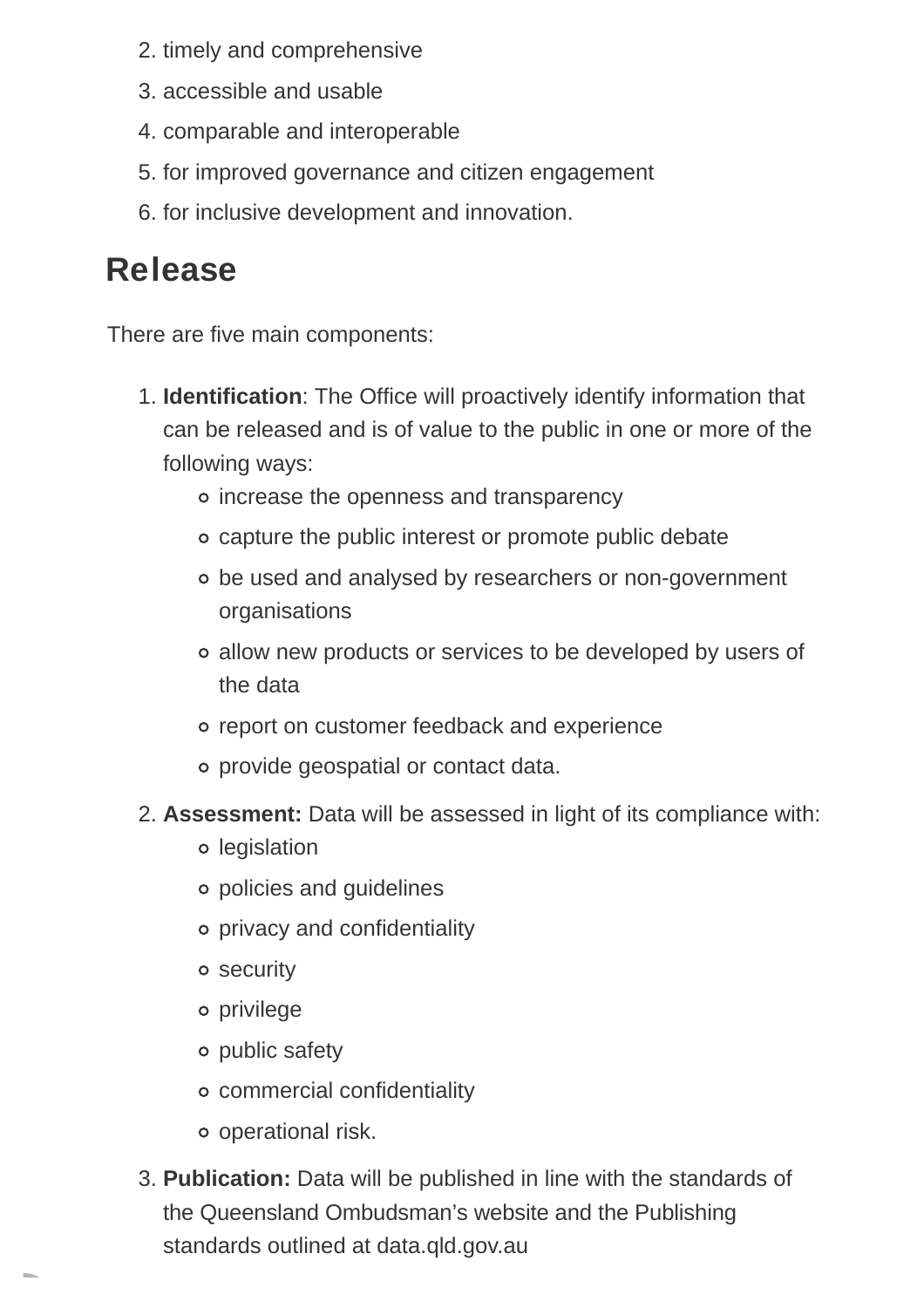- 2. timely and comprehensive
- 3. accessible and usable
- 4. comparable and interoperable
- 5. for improved governance and citizen engagement
- 6. for inclusive development and innovation.

### **Release**

There are five main components:

- 1. **Identification**: The Office will proactively identify information that can be released and is of value to the public in one or more of the following ways:
	- o increase the openness and transparency
	- capture the public interest or promote public debate
	- be used and analysed by researchers or non-government organisations
	- allow new products or services to be developed by users of the data
	- o report on customer feedback and experience
	- provide geospatial or contact data.
- **Assessment:** Data will be assessed in light of its compliance with: 2.
	- o legislation
	- policies and guidelines
	- privacy and confidentiality
	- security
	- privilege
	- public safety
	- commercial confidentiality
	- operational risk.
- **Publication:** Data will be published in line with the standards of 3. the Queensland Ombudsman's website and the Publishing standards outlined at data.qld.gov.au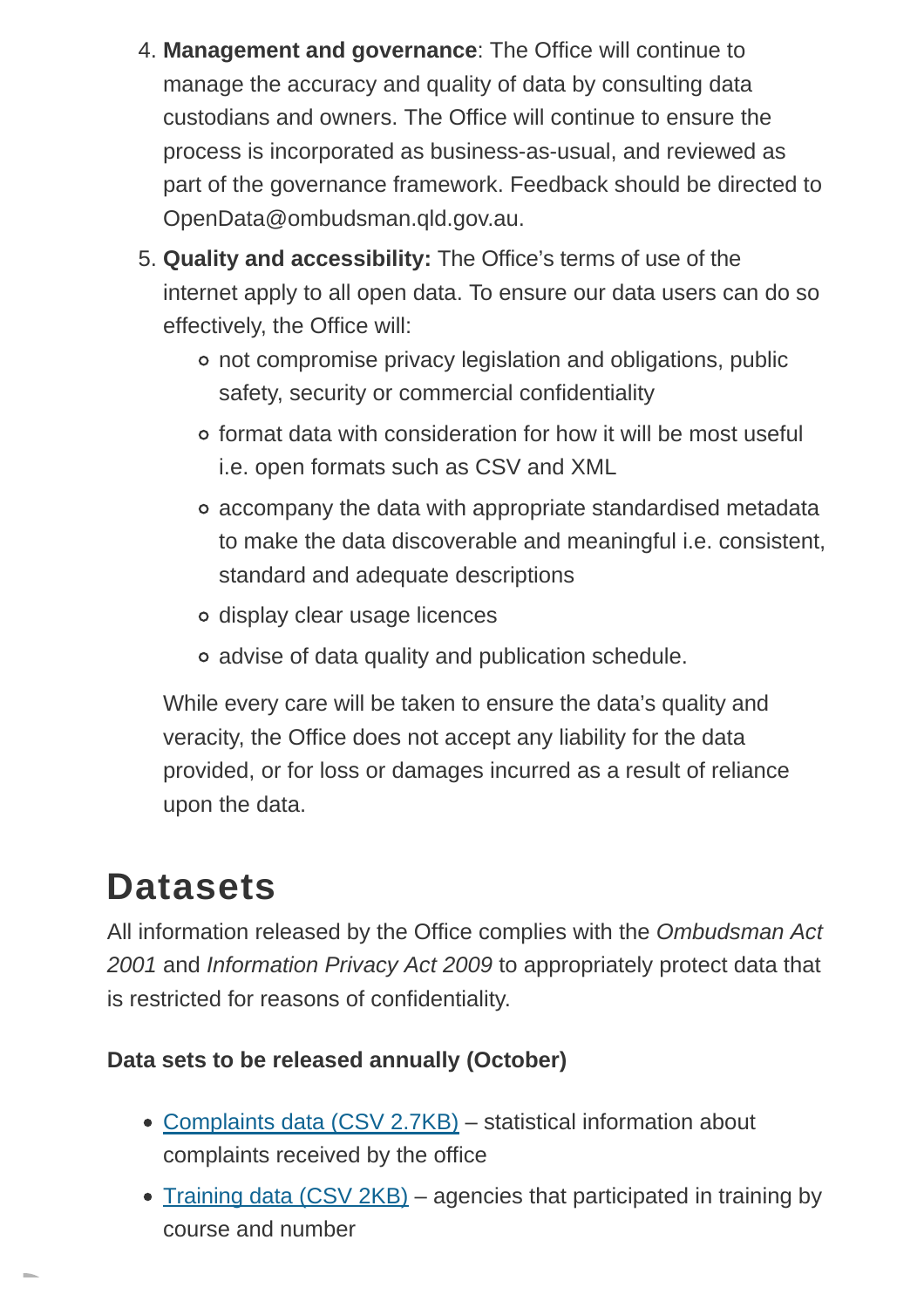- **Management and governance**: The Office will continue to 4. manage the accuracy and quality of data by consulting data custodians and owners. The Office will continue to ensure the process is incorporated as business-as-usual, and reviewed as part of the governance framework. Feedback should be directed to OpenData@ombudsman.qld.gov.au.
- **Quality and accessibility:** The Office's terms of use of the 5. internet apply to all open data. To ensure our data users can do so effectively, the Office will:
	- not compromise privacy legislation and obligations, public safety, security or commercial confidentiality
	- format data with consideration for how it will be most useful i.e. open formats such as CSV and XML
	- accompany the data with appropriate standardised metadata to make the data discoverable and meaningful i.e. consistent, standard and adequate descriptions
	- display clear usage licences
	- advise of data quality and publication schedule.

While every care will be taken to ensure the data's quality and veracity, the Office does not accept any liability for the data provided, or for loss or damages incurred as a result of reliance upon the data.

# **Datasets**

All information released by the Office complies with the Ombudsman Act 2001 and Information Privacy Act 2009 to appropriately protect data that is restricted for reasons of confidentiality.

#### **Data sets to be released annually (October)**

- [Complaints data \(CSV](https://www.ombudsman.qld.gov.au/ArticleDocuments/273/2020-21%20Open%20data%20annual%20report%20Complaints.CSV.aspx) 2.7KB) statistical information about complaints received by the office
- [Training data \(CSV](https://www.ombudsman.qld.gov.au/ArticleDocuments/273/2020-21%20Open%20data%20annual%20report%20Training.CSV.aspx) 2KB) agencies that participated in training by course and number